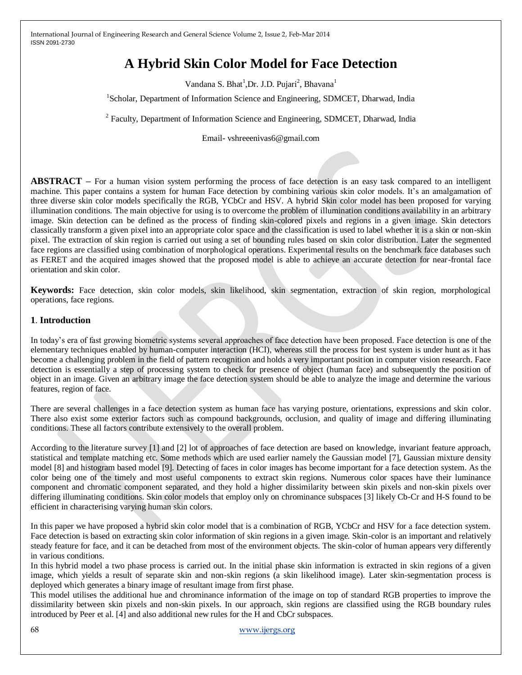# **A Hybrid Skin Color Model for Face Detection**

Vandana S. Bhat<sup>1</sup>, Dr. J.D. Pujari<sup>2</sup>, Bhavana<sup>1</sup>

<sup>1</sup>Scholar, Department of Information Science and Engineering, SDMCET, Dharwad, India

<sup>2</sup> Faculty, Department of Information Science and Engineering, SDMCET, Dharwad, India

Email- vshreeenivas6@gmail.com

**ABSTRACT –** For a human vision system performing the process of face detection is an easy task compared to an intelligent machine. This paper contains a system for human Face detection by combining various skin color models. It's an amalgamation of three diverse skin color models specifically the RGB, YCbCr and HSV. A hybrid Skin color model has been proposed for varying illumination conditions. The main objective for using is to overcome the problem of illumination conditions availability in an arbitrary image. Skin detection can be defined as the process of finding skin-colored pixels and regions in a given image. Skin detectors classically transform a given pixel into an appropriate color space and the classification is used to label whether it is a skin or non-skin pixel. The extraction of skin region is carried out using a set of bounding rules based on skin color distribution. Later the segmented face regions are classified using combination of morphological operations. Experimental results on the benchmark face databases such as FERET and the acquired images showed that the proposed model is able to achieve an accurate detection for near-frontal face orientation and skin color.

**Keywords:** Face detection, skin color models, skin likelihood, skin segmentation, extraction of skin region, morphological operations, face regions.

#### **1**. **Introduction**

In today's era of fast growing biometric systems several approaches of face detection have been proposed. Face detection is one of the elementary techniques enabled by human-computer interaction (HCI), whereas still the process for best system is under hunt as it has become a challenging problem in the field of pattern recognition and holds a very important position in computer vision research. Face detection is essentially a step of processing system to check for presence of object (human face) and subsequently the position of object in an image. Given an arbitrary image the face detection system should be able to analyze the image and determine the various features, region of face.

There are several challenges in a face detection system as human face has varying posture, orientations, expressions and skin color. There also exist some exterior factors such as compound backgrounds, occlusion, and quality of image and differing illuminating conditions. These all factors contribute extensively to the overall problem.

According to the literature survey [1] and [2] lot of approaches of face detection are based on knowledge, invariant feature approach, statistical and template matching etc. Some methods which are used earlier namely the Gaussian model [7], Gaussian mixture density model [8] and histogram based model [9]. Detecting of faces in color images has become important for a face detection system. As the color being one of the timely and most useful components to extract skin regions. Numerous color spaces have their luminance component and chromatic component separated, and they hold a higher dissimilarity between skin pixels and non-skin pixels over differing illuminating conditions. Skin color models that employ only on chrominance subspaces [3] likely Cb-Cr and H-S found to be efficient in characterising varying human skin colors.

In this paper we have proposed a hybrid skin color model that is a combination of RGB, YCbCr and HSV for a face detection system. Face detection is based on extracting skin color information of skin regions in a given image. Skin-color is an important and relatively steady feature for face, and it can be detached from most of the environment objects. The skin-color of human appears very differently in various conditions.

In this hybrid model a two phase process is carried out. In the initial phase skin information is extracted in skin regions of a given image, which yields a result of separate skin and non-skin regions (a skin likelihood image). Later skin-segmentation process is deployed which generates a binary image of resultant image from first phase.

This model utilises the additional hue and chrominance information of the image on top of standard RGB properties to improve the dissimilarity between skin pixels and non-skin pixels. In our approach, skin regions are classified using the RGB boundary rules introduced by Peer et al. [4] and also additional new rules for the H and CbCr subspaces.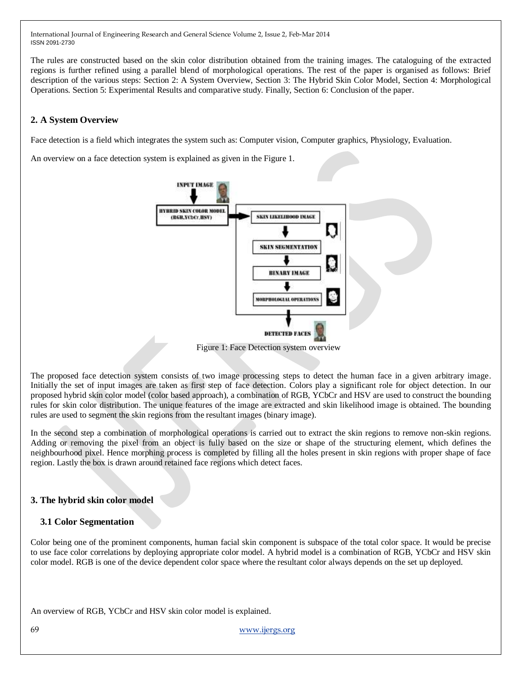The rules are constructed based on the skin color distribution obtained from the training images. The cataloguing of the extracted regions is further refined using a parallel blend of morphological operations. The rest of the paper is organised as follows: Brief description of the various steps: Section 2: A System Overview, Section 3: The Hybrid Skin Color Model, Section 4: Morphological Operations. Section 5: Experimental Results and comparative study. Finally, Section 6: Conclusion of the paper.

# **2. A System Overview**

Face detection is a field which integrates the system such as: Computer vision, Computer graphics, Physiology, Evaluation.

An overview on a face detection system is explained as given in the Figure 1.



Figure 1: Face Detection system overview

The proposed face detection system consists of two image processing steps to detect the human face in a given arbitrary image. Initially the set of input images are taken as first step of face detection. Colors play a significant role for object detection. In our proposed hybrid skin color model (color based approach), a combination of RGB, YCbCr and HSV are used to construct the bounding rules for skin color distribution. The unique features of the image are extracted and skin likelihood image is obtained. The bounding rules are used to segment the skin regions from the resultant images (binary image).

In the second step a combination of morphological operations is carried out to extract the skin regions to remove non-skin regions. Adding or removing the pixel from an object is fully based on the size or shape of the structuring element, which defines the neighbourhood pixel. Hence morphing process is completed by filling all the holes present in skin regions with proper shape of face region. Lastly the box is drawn around retained face regions which detect faces.

# **3. The hybrid skin color model**

## **3.1 Color Segmentation**

Color being one of the prominent components, human facial skin component is subspace of the total color space. It would be precise to use face color correlations by deploying appropriate color model. A hybrid model is a combination of RGB, YCbCr and HSV skin color model. RGB is one of the device dependent color space where the resultant color always depends on the set up deployed.

An overview of RGB, YCbCr and HSV skin color model is explained.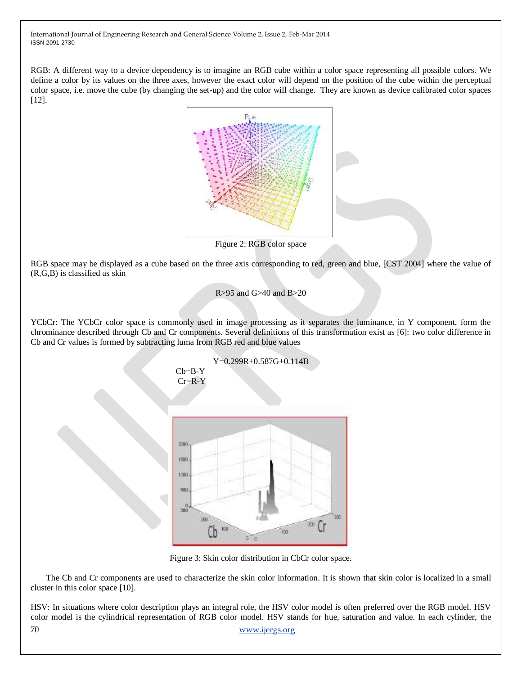RGB: A different way to a device dependency is to imagine an RGB cube within a color space representing all possible colors. We define a color by its values on the three axes, however the exact color will depend on the position of the cube within the perceptual color space, i.e. move the cube (by changing the set-up) and the color will change. They are known as device calibrated color spaces [12].



Figure 2: RGB color space

RGB space may be displayed as a cube based on the three axis corresponding to red, green and blue, [CST 2004] where the value of (R,G,B) is classified as skin

## R>95 and G>40 and B>20

YCbCr: The YCbCr color space is commonly used in image processing as it separates the luminance, in Y component, form the chrominance described through Cb and Cr components. Several definitions of this transformation exist as [6]: two color difference in Cb and Cr values is formed by subtracting luma from RGB red and blue values



Figure 3: Skin color distribution in CbCr color space.

The Cb and Cr components are used to characterize the skin color information. It is shown that skin color is localized in a small cluster in this color space [10].

70 [www.ijergs.org](http://www.ijergs.org/) HSV: In situations where color description plays an integral role, the HSV color model is often preferred over the RGB model. HSV color model is the cylindrical representation of RGB color model. HSV stands for hue, saturation and value. In each cylinder, the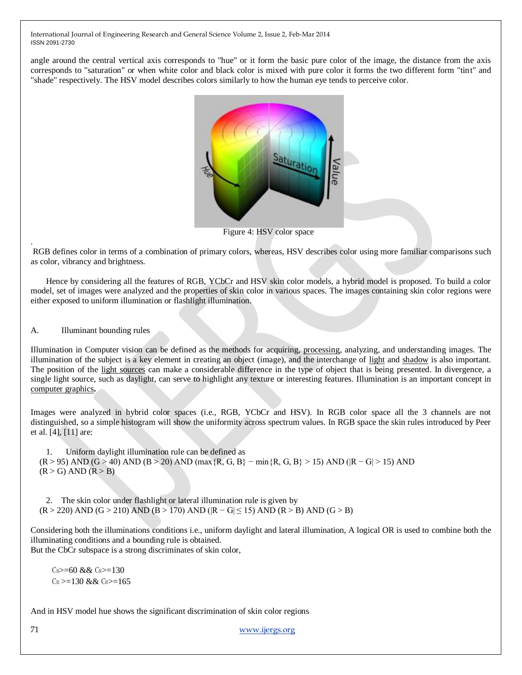angle around the central vertical axis corresponds to "hue" or it form the basic pure color of the image, the distance from the axis corresponds to "saturation" or when white color and black color is mixed with pure color it forms the two different form "tint" and "shade" respectively. The HSV model describes colors similarly to how the human eye tends to perceive color.



Figure 4: HSV color space

RGB defines color in terms of a combination of primary colors, whereas, HSV describes color using more familiar comparisons such as color, vibrancy and brightness.

Hence by considering all the features of RGB, YCbCr and HSV skin color models, a hybrid model is proposed. To build a color model, set of images were analyzed and the properties of skin color in various spaces. The images containing skin color regions were either exposed to uniform illumination or flashlight illumination.

A. Illuminant bounding rules

.

Illumination in Computer vision can be defined as the methods for acquiring, [processing,](http://en.wikipedia.org/wiki/Digital_image_processing) analyzing, and understanding images. The illumination of the subject is a key element in creating an object (image), and the interchange of [light](http://en.wikipedia.org/wiki/Light) and [shadow](http://en.wikipedia.org/wiki/Shadow) is also important. The position of the [light sources](http://en.wikipedia.org/wiki/Light_source) can make a considerable difference in the type of object that is being presented. In divergence, a single light source, such as daylight, can serve to highlight any texture or interesting features. Illumination is an important concept in [computer graphics](http://en.wikipedia.org/wiki/Computer_graphics)**.**

Images were analyzed in hybrid color spaces (i.e., RGB, YCbCr and HSV). In RGB color space all the 3 channels are not distinguished, so a simple histogram will show the uniformity across spectrum values. In RGB space the skin rules introduced by Peer et al. [4], [11] are:

1. Uniform daylight illumination rule can be defined as  $(R > 95)$  AND  $(G > 40)$  AND  $(B > 20)$  AND  $(max \{R, G, B\}$  – min $\{R, G, B\}$  > 15) AND  $(R - G)$  = 15) AND  $(R > G)$  AND  $(R > B)$ 

2. The skin color under flashlight or lateral illumination rule is given by  $(R > 220)$  AND  $(G > 210)$  AND  $(B > 170)$  AND  $(R - G \le 15)$  AND  $(R > B)$  AND  $(G > B)$ 

Considering both the illuminations conditions i.e., uniform daylight and lateral illumination, A logical OR is used to combine both the illuminating conditions and a bounding rule is obtained.

But the CbCr subspace is a strong discriminates of skin color,

 $C_B \geq 60$  &&  $C_R \geq 130$  $C_B \geq 130$  & &  $C_R \geq 165$ 

And in HSV model hue shows the significant discrimination of skin color regions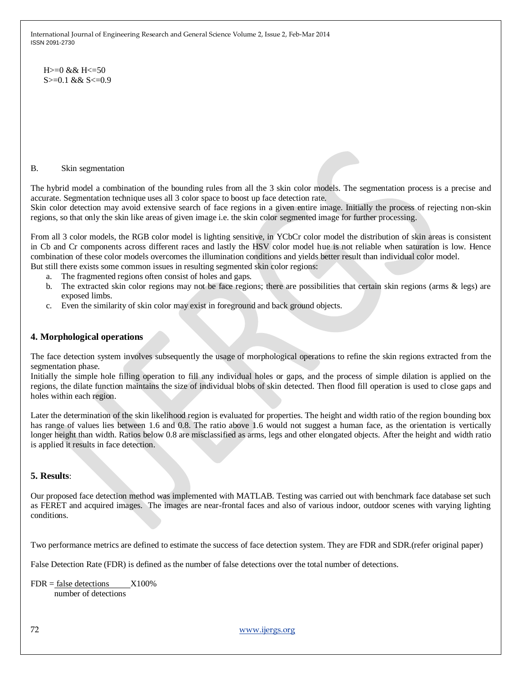$H>=0$  & &  $H<=50$  $S \geq 0.1$  & &  $S \leq 0.9$ 

#### B. Skin segmentation

The hybrid model a combination of the bounding rules from all the 3 skin color models. The segmentation process is a precise and accurate. Segmentation technique uses all 3 color space to boost up face detection rate.

Skin color detection may avoid extensive search of face regions in a given entire image. Initially the process of rejecting non-skin regions, so that only the skin like areas of given image i.e. the skin color segmented image for further processing.

From all 3 color models, the RGB color model is lighting sensitive, in YCbCr color model the distribution of skin areas is consistent in Cb and Cr components across different races and lastly the HSV color model hue is not reliable when saturation is low. Hence combination of these color models overcomes the illumination conditions and yields better result than individual color model. But still there exists some common issues in resulting segmented skin color regions:

- a. The fragmented regions often consist of holes and gaps.
- b. The extracted skin color regions may not be face regions; there are possibilities that certain skin regions (arms & legs) are exposed limbs.
- c. Even the similarity of skin color may exist in foreground and back ground objects.

#### **4. Morphological operations**

The face detection system involves subsequently the usage of morphological operations to refine the skin regions extracted from the segmentation phase.

Initially the simple hole filling operation to fill any individual holes or gaps, and the process of simple dilation is applied on the regions, the dilate function maintains the size of individual blobs of skin detected. Then flood fill operation is used to close gaps and holes within each region.

Later the determination of the skin likelihood region is evaluated for properties. The height and width ratio of the region bounding box has range of values lies between 1.6 and 0.8. The ratio above 1.6 would not suggest a human face, as the orientation is vertically longer height than width. Ratios below 0.8 are misclassified as arms, legs and other elongated objects. After the height and width ratio is applied it results in face detection.

#### **5. Results**:

Our proposed face detection method was implemented with MATLAB. Testing was carried out with benchmark face database set such as FERET and acquired images. The images are near-frontal faces and also of various indoor, outdoor scenes with varying lighting conditions.

Two performance metrics are defined to estimate the success of face detection system. They are FDR and SDR.(refer original paper)

False Detection Rate (FDR) is defined as the number of false detections over the total number of detections.

 $FDR = false$  detections  $X100\%$ number of detections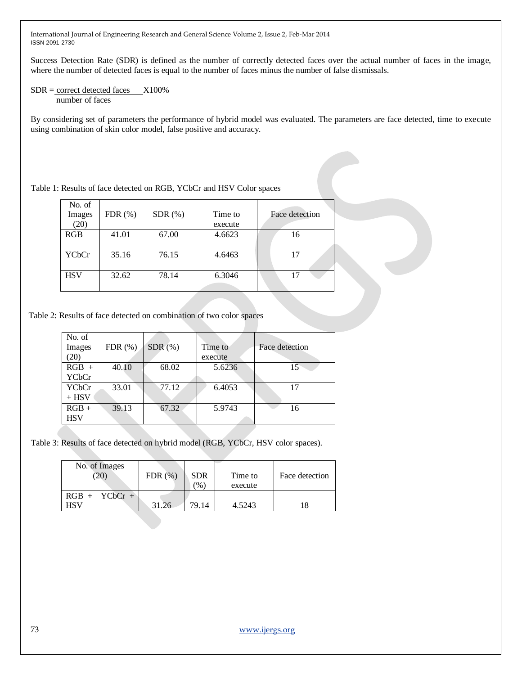Success Detection Rate (SDR) is defined as the number of correctly detected faces over the actual number of faces in the image, where the number of detected faces is equal to the number of faces minus the number of false dismissals.

#### $SDR = correct detected faces$   $X100\%$ number of faces

By considering set of parameters the performance of hybrid model was evaluated. The parameters are face detected, time to execute using combination of skin color model, false positive and accuracy.

Table 1: Results of face detected on RGB, YCbCr and HSV Color spaces

| No. of<br>Images<br>(20) | FDR(%) | $SDR$ $(\%)$ | Time to<br>execute | Face detection |
|--------------------------|--------|--------------|--------------------|----------------|
| RGB                      | 41.01  | 67.00        | 4.6623             | 16             |
| YCbCr                    | 35.16  | 76.15        | 4.6463             | 17             |
| <b>HSV</b>               | 32.62  | 78.14        | 6.3046             |                |

Table 2: Results of face detected on combination of two color spaces

| No. of<br>Images<br>(20) | FDR(%) | SDR(%) | Time to<br>execute | Face detection |
|--------------------------|--------|--------|--------------------|----------------|
| $RGB +$<br><b>YCbCr</b>  | 40.10  | 68.02  | 5.6236             | 15             |
| YCbCr<br>$+$ HSV         | 33.01  | 77.12  | 6.4053             | 17             |
| $RGB +$<br><b>HSV</b>    | 39.13  | 67.32  | 5.9743             | 16             |

Table 3: Results of face detected on hybrid model (RGB, YCbCr, HSV color spaces).

| No. of Images<br>$^{\prime\prime}20$ | $FDR(\%)$ | <b>SDR</b><br>$\frac{9}{6}$ | Time to<br>execute | Face detection |
|--------------------------------------|-----------|-----------------------------|--------------------|----------------|
| $RGB + YCbCr +$<br>HSV               | 31.26     | 79.14                       | 4.5243             | 18             |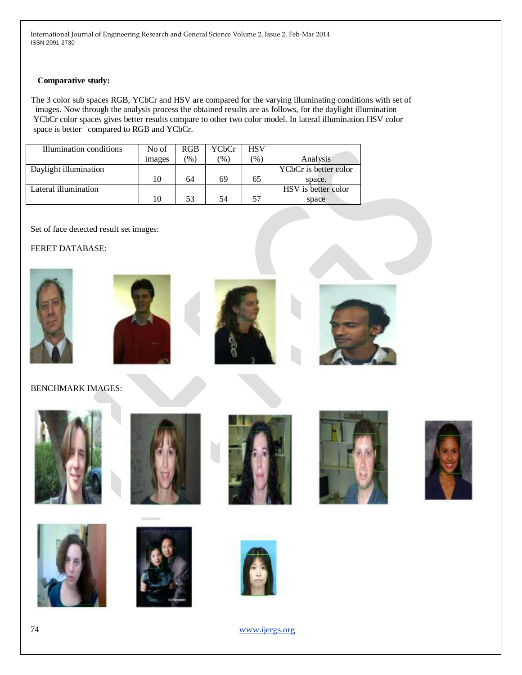#### **Comparative study:**

 The 3 color sub spaces RGB, YCbCr and HSV are compared for the varying illuminating conditions with set of images. Now through the analysis process the obtained results are as follows, for the daylight illumination YCbCr color spaces gives better results compare to other two color model. In lateral illumination HSV color space is better compared to RGB and YCbCr.

| Illumination conditions | No of  | <b>RGB</b>    | YCbCr           | <b>HSV</b> |                       |
|-------------------------|--------|---------------|-----------------|------------|-----------------------|
|                         | images | $\frac{9}{6}$ | $\mathcal{O}_0$ | $\%$       | Analysis              |
| Daylight illumination   |        |               |                 |            | YCbCr is better color |
|                         | 10     | 64            | 69              | 65         | space.                |
| Lateral illumination    |        |               |                 |            | HSV is better color   |
|                         | 10     | 53            | 54              | 57         | space                 |

Set of face detected result set images:

FERET DATABASE:









BENCHMARK IMAGES: